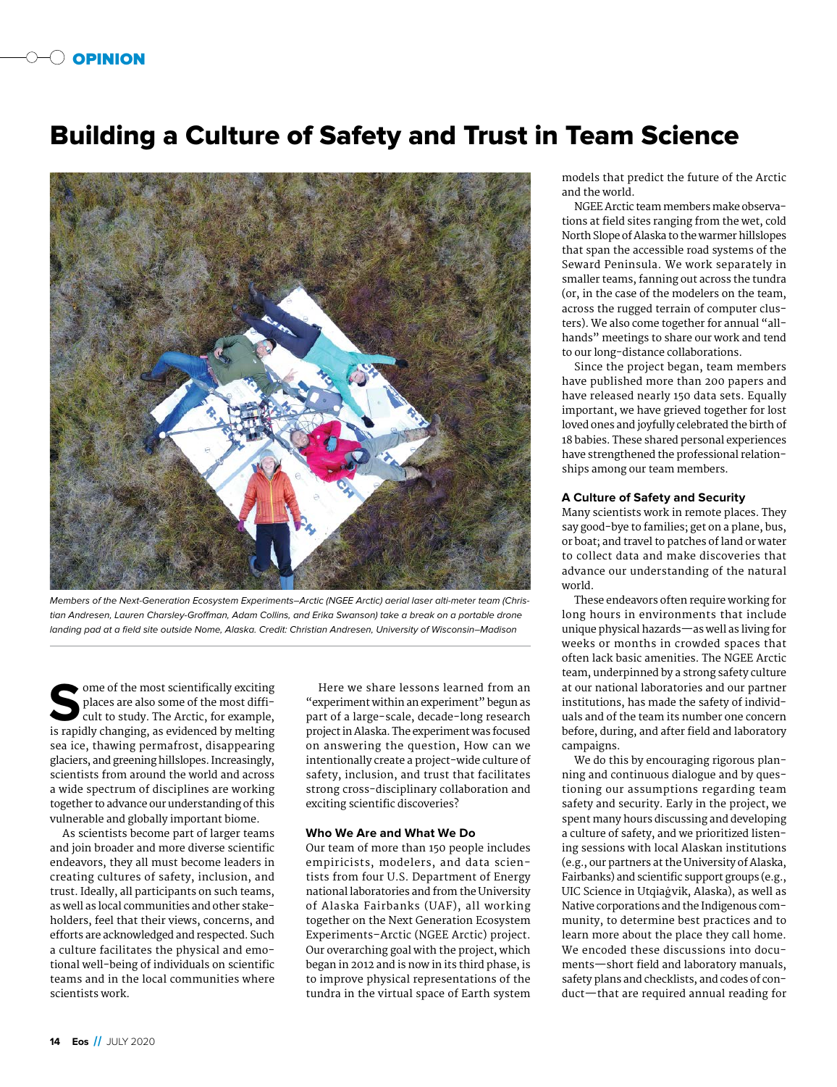## Building a Culture of Safety and Trust in Team Science



Members of the Next-Generation Ecosystem Experiments–Arctic (NGEE Arctic) aerial laser alti-meter team (Christian Andresen, Lauren Charsley-Groffman, Adam Collins, and Erika Swanson) take a break on a portable drone landing pad at a field site outside Nome, Alaska. Credit: Christian Andresen, University of Wisconsin–Madison

 $\bullet$  ome of the most scientifically exciting places are also some of the most difficult to study. The Arctic, for example, is rapidly changing, as evidenced by melting sea ice, thawing permafrost, disappearing glaciers, and greening hillslopes. Increasingly, scientists from around the world and across a wide spectrum of disciplines are working together to advance our understanding of this vulnerable and globally important biome.

As scientists become part of larger teams and join broader and more diverse scientific endeavors, they all must become leaders in creating cultures of safety, inclusion, and trust. Ideally, all participants on such teams, as well as local communities and other stakeholders, feel that their views, concerns, and efforts are acknowledged and respected. Such a culture facilitates the physical and emotional well-being of individuals on scientific teams and in the local communities where scientists work.

Here we share lessons learned from an "experiment within an experiment" begun as part of a large- scale, decade-long research project in Alaska. The experiment was focused on answering the question, How can we intentionally create a project-wide culture of safety, inclusion, and trust that facilitates strong cross- disciplinary collaboration and exciting scientific discoveries?

#### **Who We Are and What We Do**

Our team of more than 150 people includes empiricists, modelers, and data scientists from four U.S. Department of Energy national laboratories and from the University of Alaska Fairbanks (UAF), all working together on the Next Generation Ecosystem Experiments– Arctic (NGEE Arctic) project. Our overarching goal with the project, which began in 2012 and is now in its third phase, is to improve physical representations of the tundra in the virtual space of Earth system

models that predict the future of the Arctic and the world.

NGEE Arctic team members make observations at field sites ranging from the wet, cold North Slope of Alaska to the warmer hillslopes that span the accessible road systems of the Seward Peninsula. We work separately in smaller teams, fanning out across the tundra (or, in the case of the modelers on the team, across the rugged terrain of computer clusters). We also come together for annual "allhands" meetings to share our work and tend to our long-distance collaborations.

Since the project began, team members have published more than 200 papers and have released nearly 150 data sets. Equally important, we have grieved together for lost loved ones and joyfully celebrated the birth of 18 babies. These shared personal experiences have strengthened the professional relationships among our team members.

#### **A Culture of Safety and Security**

Many scientists work in remote places. They say good-bye to families; get on a plane, bus, or boat; and travel to patches of land or water to collect data and make discoveries that advance our understanding of the natural world.

These endeavors often require working for long hours in environments that include unique physical hazards—as well as living for weeks or months in crowded spaces that often lack basic amenities. The NGEE Arctic team, underpinned by a strong safety culture at our national laboratories and our partner institutions, has made the safety of individuals and of the team its number one concern before, during, and after field and laboratory campaigns.

We do this by encouraging rigorous planning and continuous dialogue and by questioning our assumptions regarding team safety and security. Early in the project, we spent many hours discussing and developing a culture of safety, and we prioritized listening sessions with local Alaskan institutions (e.g., our partners at the University of Alaska, Fairbanks) and scientific support groups (e.g., UIC Science in Utqiaġ vik, Alaska), as well as Native corporations and the Indigenous community, to determine best practices and to learn more about the place they call home. We encoded these discussions into documents—short field and laboratory manuals, safety plans and checklists, and codes of conduct—that are required annual reading for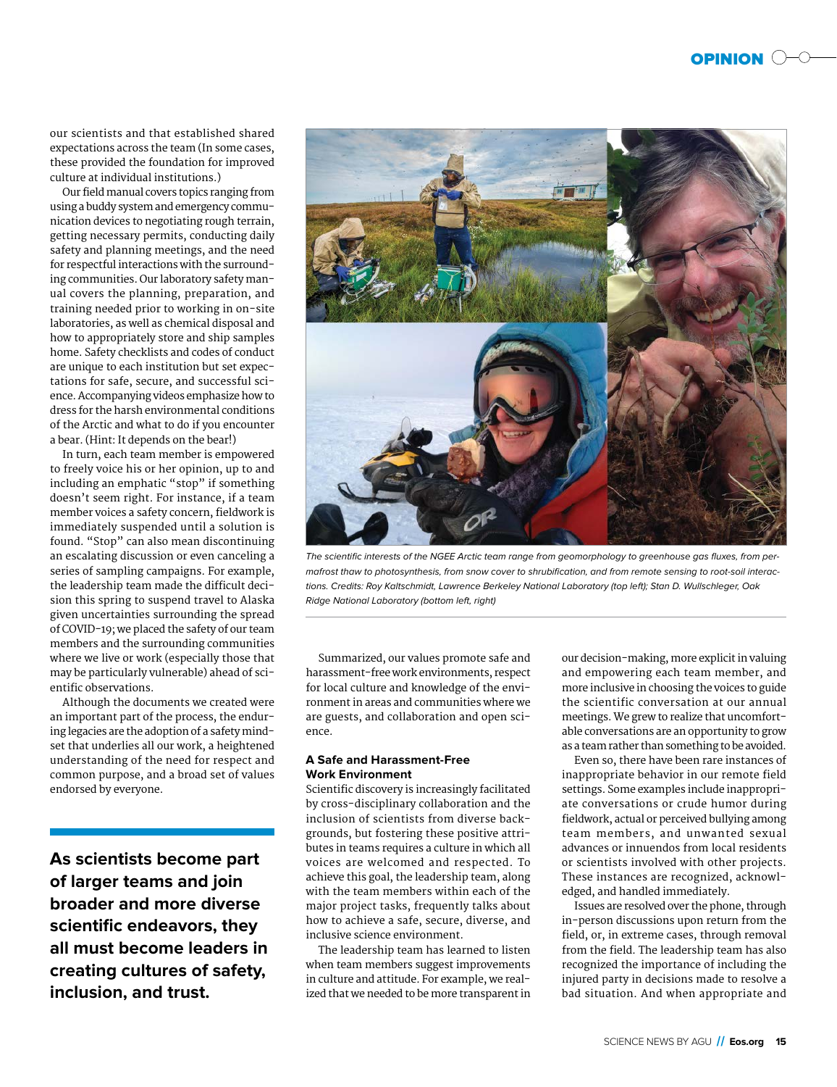our scientists and that established shared expectations across the team (In some cases, these provided the foundation for improved culture at individual institutions.)

Our field manual covers topics ranging from using a buddy system and emergency communication devices to negotiating rough terrain, getting necessary permits, conducting daily safety and planning meetings, and the need for respectful interactions with the surrounding communities. Our laboratory safety manual covers the planning, preparation, and training needed prior to working in on-site laboratories, as well as chemical disposal and how to appropriately store and ship samples home. Safety checklists and codes of conduct are unique to each institution but set expectations for safe, secure, and successful science. Accompanying videos emphasize how to dress for the harsh environmental conditions of the Arctic and what to do if you encounter a bear. (Hint: It depends on the bear!)

In turn, each team member is empowered to freely voice his or her opinion, up to and including an emphatic "stop" if something doesn't seem right. For instance, if a team member voices a safety concern, fieldwork is immediately suspended until a solution is found. "Stop" can also mean discontinuing an escalating discussion or even canceling a series of sampling campaigns. For example, the leadership team made the difficult decision this spring to suspend travel to Alaska given uncertainties surrounding the spread of COVID-19; we placed the safety of our team members and the surrounding communities where we live or work (especially those that may be particularly vulnerable) ahead of scientific observations.

Although the documents we created were an important part of the process, the enduring legacies are the adoption of a safety mindset that underlies all our work, a heightened understanding of the need for respect and common purpose, and a broad set of values endorsed by everyone.

**As scientists become part of larger teams and join broader and more diverse scientific endeavors, they all must become leaders in creating cultures of safety, inclusion, and trust.**



The scientific interests of the NGEE Arctic team range from geomorphology to greenhouse gas fluxes, from permafrost thaw to photosynthesis, from snow cover to shrubification, and from remote sensing to root-soil interactions. Credits: Roy Kaltschmidt, Lawrence Berkeley National Laboratory (top left); Stan D. Wullschleger, Oak Ridge National Laboratory (bottom left, right)

Summarized, our values promote safe and harassment-free work environments, respect for local culture and knowledge of the environment in areas and communities where we are guests, and collaboration and open science.

## **A Safe and Harassment-Free Work Environment**

Scientific discovery is increasingly facilitated by cross- disciplinary collaboration and the inclusion of scientists from diverse backgrounds, but fostering these positive attributes in teams requires a culture in which all voices are welcomed and respected. To achieve this goal, the leadership team, along with the team members within each of the major project tasks, frequently talks about how to achieve a safe, secure, diverse, and inclusive science environment.

The leadership team has learned to listen when team members suggest improvements in culture and attitude. For example, we realized that we needed to be more transparent in our decision-making, more explicit in valuing and empowering each team member, and more inclusive in choosing the voices to guide the scientific conversation at our annual meetings. We grew to realize that uncomfortable conversations are an opportunity to grow as a team rather than something to be avoided.

Even so, there have been rare instances of inappropriate behavior in our remote field settings. Some examples include inappropriate conversations or crude humor during fieldwork, actual or perceived bullying among team members, and unwanted sexual advances or innuendos from local residents or scientists involved with other projects. These instances are recognized, acknowledged, and handled immediately.

Issues are resolved over the phone, through in-person discussions upon return from the field, or, in extreme cases, through removal from the field. The leadership team has also recognized the importance of including the injured party in decisions made to resolve a bad situation. And when appropriate and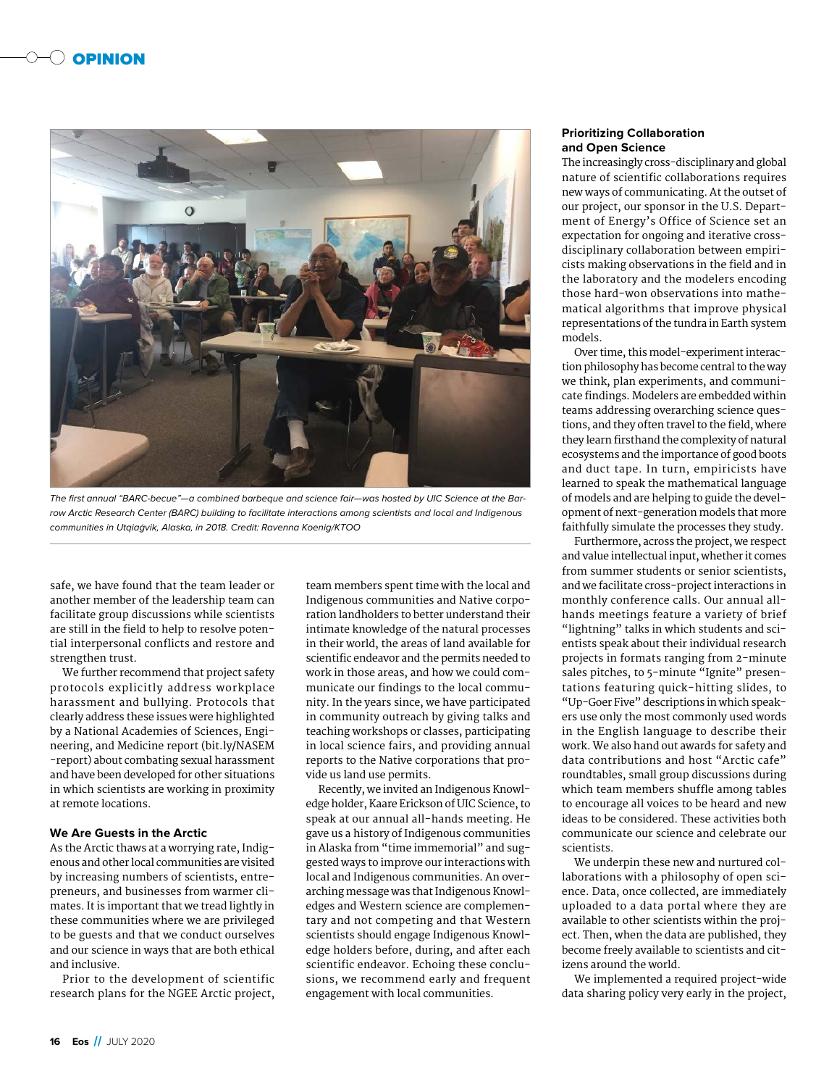

The first annual "BARC-becue"—a combined barbeque and science fair—was hosted by UIC Science at the Barrow Arctic Research Center (BARC) building to facilitate interactions among scientists and local and Indigenous communities in Utqiaġvik, Alaska, in 2018. Credit: Ravenna Koenig/KTOO

safe, we have found that the team leader or another member of the leadership team can facilitate group discussions while scientists are still in the field to help to resolve potential interpersonal conflicts and restore and strengthen trust.

We further recommend that project safety protocols explicitly address workplace harassment and bullying. Protocols that clearly address these issues were highlighted by a National Academies of Sciences, Engineering, and Medicine report (bit.ly/NASEM -report) about combating sexual harassment and have been developed for other situations in which scientists are working in proximity at remote locations.

### **We Are Guests in the Arctic**

As the Arctic thaws at a worrying rate, Indigenous and other local communities are visited by increasing numbers of scientists, entrepreneurs, and businesses from warmer climates. It is important that we tread lightly in these communities where we are privileged to be guests and that we conduct ourselves and our science in ways that are both ethical and inclusive.

Prior to the development of scientific research plans for the NGEE Arctic project,

team members spent time with the local and Indigenous communities and Native corporation landholders to better understand their intimate knowledge of the natural processes in their world, the areas of land available for scientific endeavor and the permits needed to work in those areas, and how we could communicate our findings to the local community. In the years since, we have participated in community outreach by giving talks and teaching workshops or classes, participating in local science fairs, and providing annual reports to the Native corporations that provide us land use permits.

Recently, we invited an Indigenous Knowledge holder, Kaare Erickson of UIC Science, to speak at our annual all- hands meeting. He gave us a history of Indigenous communities in Alaska from "time immemorial" and suggested ways to improve our interactions with local and Indigenous communities. An overarching message was that Indigenous Knowledges and Western science are complementary and not competing and that Western scientists should engage Indigenous Knowledge holders before, during, and after each scientific endeavor. Echoing these conclusions, we recommend early and frequent engagement with local communities.

#### **Prioritizing Collaboration and Open Science**

The increasingly cross-disciplinary and global nature of scientific collaborations requires new ways of communicating. At the outset of our project, our sponsor in the U.S. Department of Energy's Office of Science set an expectation for ongoing and iterative crossdisciplinary collaboration between empiricists making observations in the field and in the laboratory and the modelers encoding those hard- won observations into mathematical algorithms that improve physical representations of the tundra in Earth system models.

Over time, this model-experiment interaction philosophy has become central to the way we think, plan experiments, and communicate findings. Modelers are embedded within teams addressing overarching science questions, and they often travel to the field, where they learn firsthand the complexity of natural ecosystems and the importance of good boots and duct tape. In turn, empiricists have learned to speak the mathematical language of models and are helping to guide the development of next-generation models that more faithfully simulate the processes they study.

Furthermore, across the project, we respect and value intellectual input, whether it comes from summer students or senior scientists, and we facilitate cross-project interactions in monthly conference calls. Our annual allhands meetings feature a variety of brief "lightning" talks in which students and scientists speak about their individual research projects in formats ranging from 2- minute sales pitches, to 5-minute "Ignite" presentations featuring quick- hitting slides, to "Up-Goer Five" descriptions in which speak ers use only the most commonly used words in the English language to describe their work. We also hand out awards for safety and data contributions and host "Arctic cafe" roundtables, small group discussions during which team members shuffle among tables to encourage all voices to be heard and new ideas to be considered. These activities both communicate our science and celebrate our scientists.

We underpin these new and nurtured collaborations with a philosophy of open science. Data, once collected, are immediately uploaded to a data portal where they are available to other scientists within the project. Then, when the data are published, they become freely available to scientists and citizens around the world.

We implemented a required project-wide data sharing policy very early in the project,